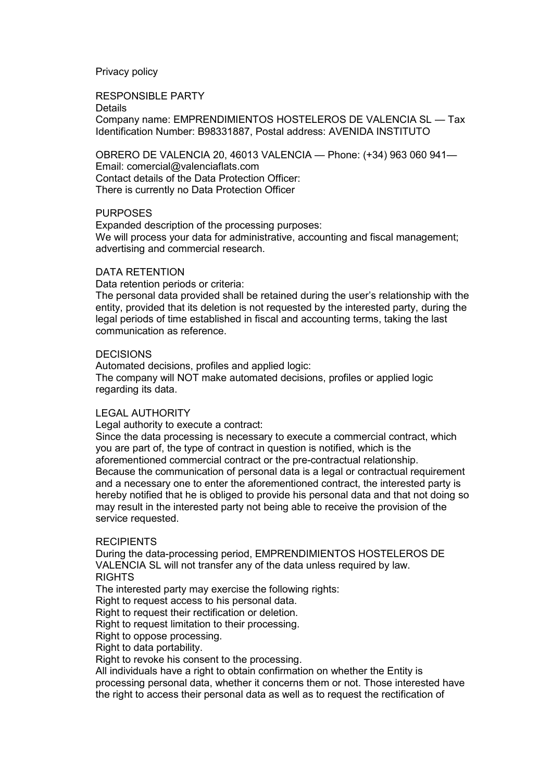# Privacy policy

RESPONSIBLE PARTY

Details

Company name: EMPRENDIMIENTOS HOSTELEROS DE VALENCIA SL — Tax Identification Number: B98331887, Postal address: AVENIDA INSTITUTO

OBRERO DE VALENCIA 20, 46013 VALENCIA — Phone: (+34) 963 060 941— Email: comercial@valenciaflats.com Contact details of the Data Protection Officer: There is currently no Data Protection Officer

# PURPOSES

Expanded description of the processing purposes: We will process your data for administrative, accounting and fiscal management; advertising and commercial research.

# DATA RETENTION

Data retention periods or criteria:

The personal data provided shall be retained during the user's relationship with the entity, provided that its deletion is not requested by the interested party, during the legal periods of time established in fiscal and accounting terms, taking the last communication as reference.

### DECISIONS

Automated decisions, profiles and applied logic: The company will NOT make automated decisions, profiles or applied logic regarding its data.

### LEGAL AUTHORITY

Legal authority to execute a contract:

Since the data processing is necessary to execute a commercial contract, which you are part of, the type of contract in question is notified, which is the aforementioned commercial contract or the pre-contractual relationship. Because the communication of personal data is a legal or contractual requirement and a necessary one to enter the aforementioned contract, the interested party is hereby notified that he is obliged to provide his personal data and that not doing so may result in the interested party not being able to receive the provision of the service requested.

### RECIPIENTS

During the data-processing period, EMPRENDIMIENTOS HOSTELEROS DE VALENCIA SL will not transfer any of the data unless required by law. RIGHTS

The interested party may exercise the following rights:

Right to request access to his personal data.

Right to request their rectification or deletion.

Right to request limitation to their processing.

Right to oppose processing.

Right to data portability.

Right to revoke his consent to the processing.

All individuals have a right to obtain confirmation on whether the Entity is processing personal data, whether it concerns them or not. Those interested have the right to access their personal data as well as to request the rectification of